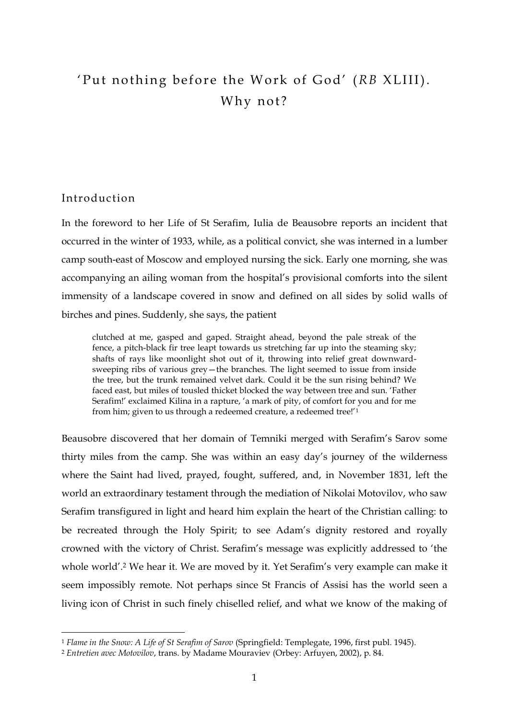# ' Put nothing before the Work of God' (*RB* XLIII). Why not?

## Introduction

-

In the foreword to her Life of St Serafim, Iulia de Beausobre reports an incident that occurred in the winter of 1933, while, as a political convict, she was interned in a lumber camp south-east of Moscow and employed nursing the sick. Early one morning, she was accompanying an ailing woman from the hospital's provisional comforts into the silent immensity of a landscape covered in snow and defined on all sides by solid walls of birches and pines. Suddenly, she says, the patient

clutched at me, gasped and gaped. Straight ahead, beyond the pale streak of the fence, a pitch-black fir tree leapt towards us stretching far up into the steaming sky; shafts of rays like moonlight shot out of it, throwing into relief great downwardsweeping ribs of various grey—the branches. The light seemed to issue from inside the tree, but the trunk remained velvet dark. Could it be the sun rising behind? We faced east, but miles of tousled thicket blocked the way between tree and sun. 'Father Serafim!' exclaimed Kilina in a rapture, 'a mark of pity, of comfort for you and for me from him; given to us through a redeemed creature, a redeemed tree!'<sup>1</sup>

Beausobre discovered that her domain of Temniki merged with Serafim's Sarov some thirty miles from the camp. She was within an easy day's journey of the wilderness where the Saint had lived, prayed, fought, suffered, and, in November 1831, left the world an extraordinary testament through the mediation of Nikolai Motovilov, who saw Serafim transfigured in light and heard him explain the heart of the Christian calling: to be recreated through the Holy Spirit; to see Adam's dignity restored and royally crowned with the victory of Christ. Serafim's message was explicitly addressed to 'the whole world'. <sup>2</sup> We hear it. We are moved by it. Yet Serafim's very example can make it seem impossibly remote. Not perhaps since St Francis of Assisi has the world seen a living icon of Christ in such finely chiselled relief, and what we know of the making of

<sup>1</sup> *Flame in the Snow: A Life of St Serafim of Sarov* (Springfield: Templegate, 1996, first publ. 1945).

<sup>2</sup> *Entretien avec Motovilov*, trans. by Madame Mouraviev (Orbey: Arfuyen, 2002), p. 84.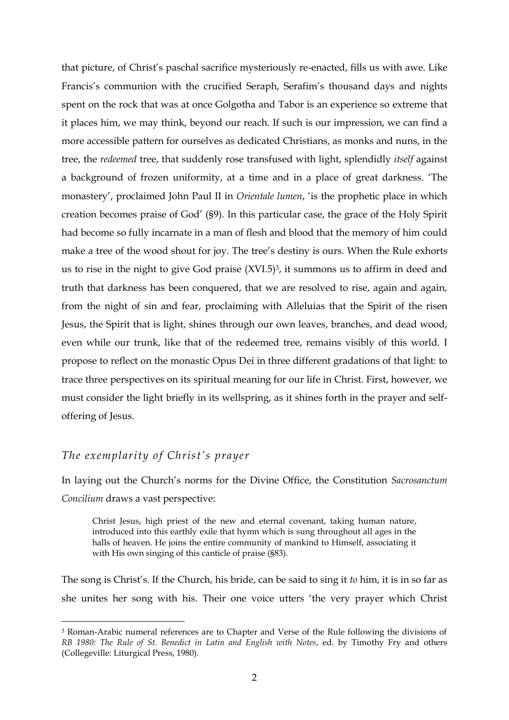that picture, of Christ's paschal sacrifice mysteriously re-enacted, fills us with awe. Like Francis's communion with the crucified Seraph, Serafim's thousand days and nights spent on the rock that was at once Golgotha and Tabor is an experience so extreme that it places him, we may think, beyond our reach. If such is our impression, we can find a more accessible pattern for ourselves as dedicated Christians, as monks and nuns, in the tree, the *redeemed* tree, that suddenly rose transfused with light, splendidly *itself* against a background of frozen uniformity, at a time and in a place of great darkness. 'The monastery', proclaimed John Paul II in *Orientale lumen*, 'is the prophetic place in which creation becomes praise of God' (§9). In this particular case, the grace of the Holy Spirit had become so fully incarnate in a man of flesh and blood that the memory of him could make a tree of the wood shout for joy. The tree's destiny is ours. When the Rule exhorts us to rise in the night to give God praise (XVI.5) 3 , it summons us to affirm in deed and truth that darkness has been conquered, that we are resolved to rise, again and again, from the night of sin and fear, proclaiming with Alleluias that the Spirit of the risen Jesus, the Spirit that is light, shines through our own leaves, branches, and dead wood, even while our trunk, like that of the redeemed tree, remains visibly of this world. I propose to reflect on the monastic Opus Dei in three different gradations of that light: to trace three perspectives on its spiritual meaning for our life in Christ. First, however, we must consider the light briefly in its wellspring, as it shines forth in the prayer and selfoffering of Jesus.

## *The exemplarity of Christ's prayer*

-

In laying out the Church's norms for the Divine Office, the Constitution *Sacrosanctum Concilium* draws a vast perspective:

Christ Jesus, high priest of the new and eternal covenant, taking human nature, introduced into this earthly exile that hymn which is sung throughout all ages in the halls of heaven. He joins the entire community of mankind to Himself, associating it with His own singing of this canticle of praise (§83).

The song is Christ's. If the Church, his bride, can be said to sing it *to* him, it is in so far as she unites her song with his. Their one voice utters 'the very prayer which Christ

<sup>3</sup> Roman-Arabic numeral references are to Chapter and Verse of the Rule following the divisions of *RB 1980: The Rule of St. Benedict in Latin and English with Notes*, ed. by Timothy Fry and others (Collegeville: Liturgical Press, 1980).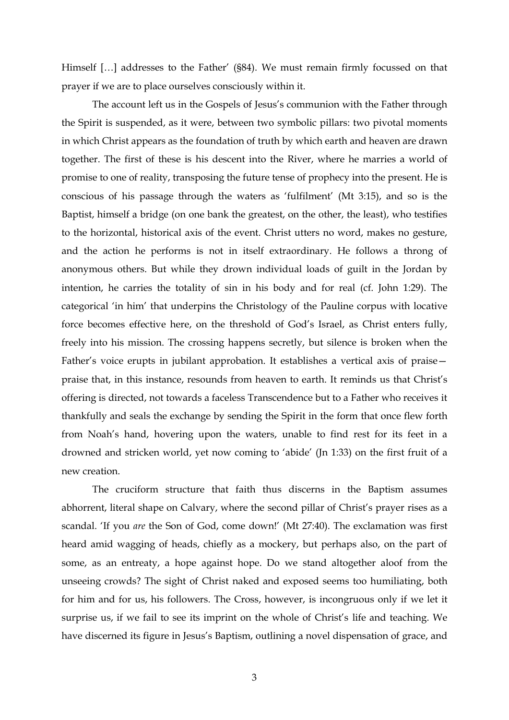Himself […] addresses to the Father' (§84). We must remain firmly focussed on that prayer if we are to place ourselves consciously within it.

The account left us in the Gospels of Jesus's communion with the Father through the Spirit is suspended, as it were, between two symbolic pillars: two pivotal moments in which Christ appears as the foundation of truth by which earth and heaven are drawn together. The first of these is his descent into the River, where he marries a world of promise to one of reality, transposing the future tense of prophecy into the present. He is conscious of his passage through the waters as 'fulfilment' (Mt 3:15), and so is the Baptist, himself a bridge (on one bank the greatest, on the other, the least), who testifies to the horizontal, historical axis of the event. Christ utters no word, makes no gesture, and the action he performs is not in itself extraordinary. He follows a throng of anonymous others. But while they drown individual loads of guilt in the Jordan by intention, he carries the totality of sin in his body and for real (cf. John 1:29). The categorical 'in him' that underpins the Christology of the Pauline corpus with locative force becomes effective here, on the threshold of God's Israel, as Christ enters fully, freely into his mission. The crossing happens secretly, but silence is broken when the Father's voice erupts in jubilant approbation. It establishes a vertical axis of praise praise that, in this instance, resounds from heaven to earth. It reminds us that Christ's offering is directed, not towards a faceless Transcendence but to a Father who receives it thankfully and seals the exchange by sending the Spirit in the form that once flew forth from Noah's hand, hovering upon the waters, unable to find rest for its feet in a drowned and stricken world, yet now coming to 'abide' (Jn 1:33) on the first fruit of a new creation.

The cruciform structure that faith thus discerns in the Baptism assumes abhorrent, literal shape on Calvary, where the second pillar of Christ's prayer rises as a scandal. 'If you *are* the Son of God, come down!' (Mt 27:40). The exclamation was first heard amid wagging of heads, chiefly as a mockery, but perhaps also, on the part of some, as an entreaty, a hope against hope. Do we stand altogether aloof from the unseeing crowds? The sight of Christ naked and exposed seems too humiliating, both for him and for us, his followers. The Cross, however, is incongruous only if we let it surprise us, if we fail to see its imprint on the whole of Christ's life and teaching. We have discerned its figure in Jesus's Baptism, outlining a novel dispensation of grace, and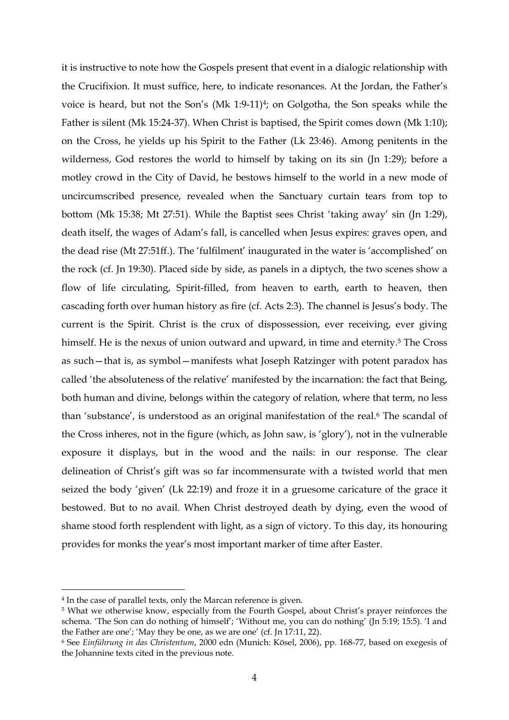it is instructive to note how the Gospels present that event in a dialogic relationship with the Crucifixion. It must suffice, here, to indicate resonances. At the Jordan, the Father's voice is heard, but not the Son's (Mk 1:9-11)<sup>4</sup>; on Golgotha, the Son speaks while the Father is silent (Mk 15:24-37). When Christ is baptised, the Spirit comes down (Mk 1:10); on the Cross, he yields up his Spirit to the Father (Lk 23:46). Among penitents in the wilderness, God restores the world to himself by taking on its sin (Jn 1:29); before a motley crowd in the City of David, he bestows himself to the world in a new mode of uncircumscribed presence, revealed when the Sanctuary curtain tears from top to bottom (Mk 15:38; Mt 27:51). While the Baptist sees Christ 'taking away' sin (Jn 1:29), death itself, the wages of Adam's fall, is cancelled when Jesus expires: graves open, and the dead rise (Mt 27:51ff.). The 'fulfilment' inaugurated in the water is 'accomplished' on the rock (cf. Jn 19:30). Placed side by side, as panels in a diptych, the two scenes show a flow of life circulating, Spirit-filled, from heaven to earth, earth to heaven, then cascading forth over human history as fire (cf. Acts 2:3). The channel is Jesus's body. The current is the Spirit. Christ is the crux of dispossession, ever receiving, ever giving himself. He is the nexus of union outward and upward, in time and eternity. <sup>5</sup> The Cross as such—that is, as symbol—manifests what Joseph Ratzinger with potent paradox has called 'the absoluteness of the relative' manifested by the incarnation: the fact that Being, both human and divine, belongs within the category of relation, where that term, no less than 'substance', is understood as an original manifestation of the real.<sup>6</sup> The scandal of the Cross inheres, not in the figure (which, as John saw, is 'glory'), not in the vulnerable exposure it displays, but in the wood and the nails: in our response. The clear delineation of Christ's gift was so far incommensurate with a twisted world that men seized the body 'given' (Lk 22:19) and froze it in a gruesome caricature of the grace it bestowed. But to no avail. When Christ destroyed death by dying, even the wood of shame stood forth resplendent with light, as a sign of victory. To this day, its honouring provides for monks the year's most important marker of time after Easter.

<sup>4</sup> In the case of parallel texts, only the Marcan reference is given.

<sup>5</sup> What we otherwise know, especially from the Fourth Gospel, about Christ's prayer reinforces the schema. 'The Son can do nothing of himself'; 'Without me, you can do nothing' (Jn 5:19; 15:5). 'I and the Father are one'; 'May they be one, as we are one' (cf. Jn 17:11, 22).

<sup>6</sup> See *Einführung in das Christentum*, 2000 edn (Munich: Kösel, 2006), pp. 168-77, based on exegesis of the Johannine texts cited in the previous note.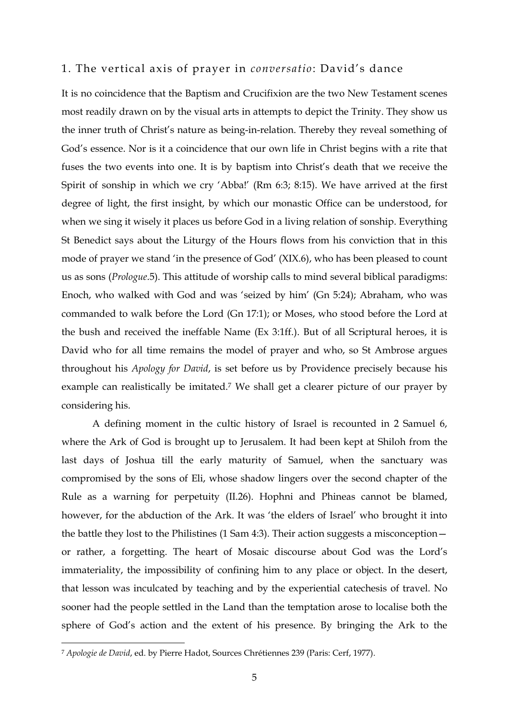#### 1. The vertical axis of prayer in *conversatio*: David's dance

It is no coincidence that the Baptism and Crucifixion are the two New Testament scenes most readily drawn on by the visual arts in attempts to depict the Trinity. They show us the inner truth of Christ's nature as being-in-relation. Thereby they reveal something of God's essence. Nor is it a coincidence that our own life in Christ begins with a rite that fuses the two events into one. It is by baptism into Christ's death that we receive the Spirit of sonship in which we cry 'Abba!' (Rm 6:3; 8:15). We have arrived at the first degree of light, the first insight, by which our monastic Office can be understood, for when we sing it wisely it places us before God in a living relation of sonship. Everything St Benedict says about the Liturgy of the Hours flows from his conviction that in this mode of prayer we stand 'in the presence of God' (XIX.6), who has been pleased to count us as sons (*Prologue*.5). This attitude of worship calls to mind several biblical paradigms: Enoch, who walked with God and was 'seized by him' (Gn 5:24); Abraham, who was commanded to walk before the Lord (Gn 17:1); or Moses, who stood before the Lord at the bush and received the ineffable Name (Ex 3:1ff.). But of all Scriptural heroes, it is David who for all time remains the model of prayer and who, so St Ambrose argues throughout his *Apology for David*, is set before us by Providence precisely because his example can realistically be imitated. <sup>7</sup> We shall get a clearer picture of our prayer by considering his.

A defining moment in the cultic history of Israel is recounted in 2 Samuel 6, where the Ark of God is brought up to Jerusalem. It had been kept at Shiloh from the last days of Joshua till the early maturity of Samuel, when the sanctuary was compromised by the sons of Eli, whose shadow lingers over the second chapter of the Rule as a warning for perpetuity (II.26). Hophni and Phineas cannot be blamed, however, for the abduction of the Ark. It was 'the elders of Israel' who brought it into the battle they lost to the Philistines (1 Sam 4:3). Their action suggests a misconception or rather, a forgetting. The heart of Mosaic discourse about God was the Lord's immateriality, the impossibility of confining him to any place or object. In the desert, that lesson was inculcated by teaching and by the experiential catechesis of travel. No sooner had the people settled in the Land than the temptation arose to localise both the sphere of God's action and the extent of his presence. By bringing the Ark to the

<sup>7</sup> *Apologie de David*, ed. by Pierre Hadot, Sources Chrétiennes 239 (Paris: Cerf, 1977).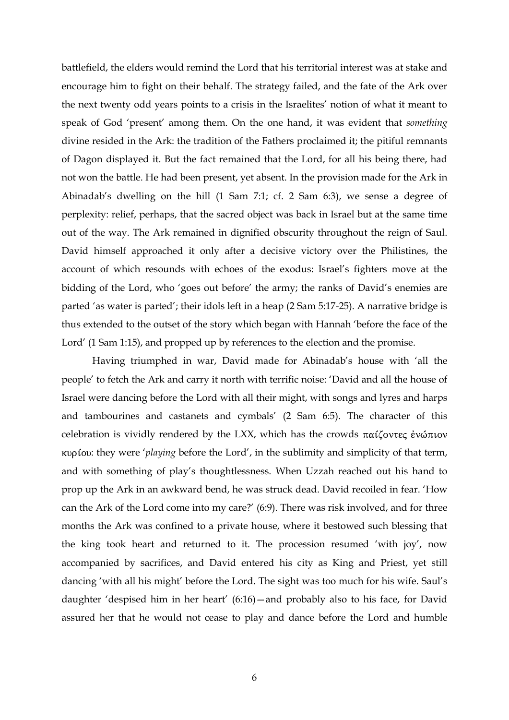battlefield, the elders would remind the Lord that his territorial interest was at stake and encourage him to fight on their behalf. The strategy failed, and the fate of the Ark over the next twenty odd years points to a crisis in the Israelites' notion of what it meant to speak of God 'present' among them. On the one hand, it was evident that *something*  divine resided in the Ark: the tradition of the Fathers proclaimed it; the pitiful remnants of Dagon displayed it. But the fact remained that the Lord, for all his being there, had not won the battle. He had been present, yet absent. In the provision made for the Ark in Abinadab's dwelling on the hill (1 Sam 7:1; cf. 2 Sam 6:3), we sense a degree of perplexity: relief, perhaps, that the sacred object was back in Israel but at the same time out of the way. The Ark remained in dignified obscurity throughout the reign of Saul. David himself approached it only after a decisive victory over the Philistines, the account of which resounds with echoes of the exodus: Israel's fighters move at the bidding of the Lord, who 'goes out before' the army; the ranks of David's enemies are parted 'as water is parted'; their idols left in a heap (2 Sam 5:17-25). A narrative bridge is thus extended to the outset of the story which began with Hannah 'before the face of the Lord' (1 Sam 1:15), and propped up by references to the election and the promise.

Having triumphed in war, David made for Abinadab's house with 'all the people' to fetch the Ark and carry it north with terrific noise: 'David and all the house of Israel were dancing before the Lord with all their might, with songs and lyres and harps and tambourines and castanets and cymbals' (2 Sam 6:5). The character of this celebration is vividly rendered by the LXX, which has the crowds  $\pi\alpha\zeta$  ovter  $\zeta\gamma\gamma$ : they were '*playing* before the Lord', in the sublimity and simplicity of that term, and with something of play's thoughtlessness. When Uzzah reached out his hand to prop up the Ark in an awkward bend, he was struck dead. David recoiled in fear. 'How can the Ark of the Lord come into my care?' (6:9). There was risk involved, and for three months the Ark was confined to a private house, where it bestowed such blessing that the king took heart and returned to it. The procession resumed 'with joy', now accompanied by sacrifices, and David entered his city as King and Priest, yet still dancing 'with all his might' before the Lord. The sight was too much for his wife. Saul's daughter 'despised him in her heart' (6:16)—and probably also to his face, for David assured her that he would not cease to play and dance before the Lord and humble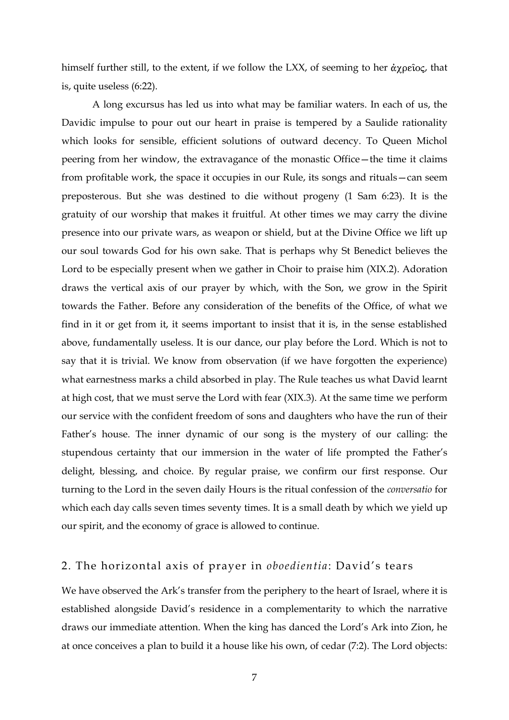himself further still, to the extent, if we follow the LXX, of seeming to her  $\alpha \chi \rho \epsilon$  io, that is, quite useless (6:22).

A long excursus has led us into what may be familiar waters. In each of us, the Davidic impulse to pour out our heart in praise is tempered by a Saulide rationality which looks for sensible, efficient solutions of outward decency. To Queen Michol peering from her window, the extravagance of the monastic Office—the time it claims from profitable work, the space it occupies in our Rule, its songs and rituals—can seem preposterous. But she was destined to die without progeny (1 Sam 6:23). It is the gratuity of our worship that makes it fruitful. At other times we may carry the divine presence into our private wars, as weapon or shield, but at the Divine Office we lift up our soul towards God for his own sake. That is perhaps why St Benedict believes the Lord to be especially present when we gather in Choir to praise him (XIX.2). Adoration draws the vertical axis of our prayer by which, with the Son, we grow in the Spirit towards the Father. Before any consideration of the benefits of the Office, of what we find in it or get from it, it seems important to insist that it is, in the sense established above, fundamentally useless. It is our dance, our play before the Lord. Which is not to say that it is trivial. We know from observation (if we have forgotten the experience) what earnestness marks a child absorbed in play. The Rule teaches us what David learnt at high cost, that we must serve the Lord with fear (XIX.3). At the same time we perform our service with the confident freedom of sons and daughters who have the run of their Father's house. The inner dynamic of our song is the mystery of our calling: the stupendous certainty that our immersion in the water of life prompted the Father's delight, blessing, and choice. By regular praise, we confirm our first response. Our turning to the Lord in the seven daily Hours is the ritual confession of the *conversatio* for which each day calls seven times seventy times. It is a small death by which we yield up our spirit, and the economy of grace is allowed to continue.

### 2. The horizontal axis of prayer in *oboedientia*: David's tears

We have observed the Ark's transfer from the periphery to the heart of Israel, where it is established alongside David's residence in a complementarity to which the narrative draws our immediate attention. When the king has danced the Lord's Ark into Zion, he at once conceives a plan to build it a house like his own, of cedar (7:2). The Lord objects: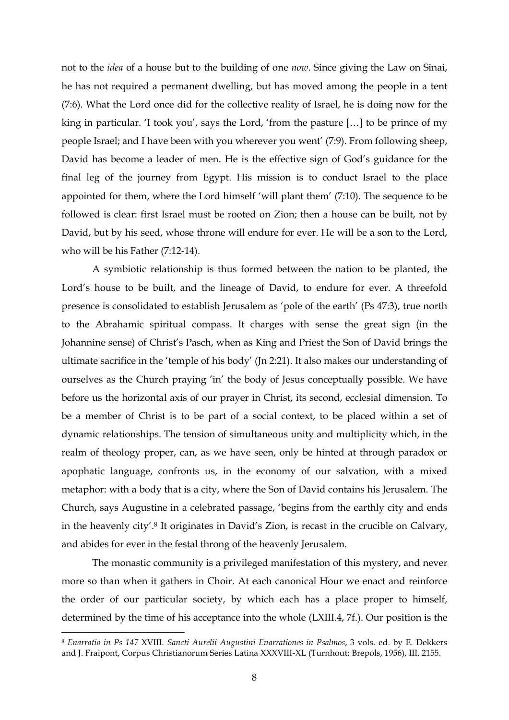not to the *idea* of a house but to the building of one *now*. Since giving the Law on Sinai, he has not required a permanent dwelling, but has moved among the people in a tent (7:6). What the Lord once did for the collective reality of Israel, he is doing now for the king in particular. 'I took you', says the Lord, 'from the pasture […] to be prince of my people Israel; and I have been with you wherever you went' (7:9). From following sheep, David has become a leader of men. He is the effective sign of God's guidance for the final leg of the journey from Egypt. His mission is to conduct Israel to the place appointed for them, where the Lord himself 'will plant them' (7:10). The sequence to be followed is clear: first Israel must be rooted on Zion; then a house can be built, not by David, but by his seed, whose throne will endure for ever. He will be a son to the Lord, who will be his Father (7:12-14).

A symbiotic relationship is thus formed between the nation to be planted, the Lord's house to be built, and the lineage of David, to endure for ever. A threefold presence is consolidated to establish Jerusalem as 'pole of the earth' (Ps 47:3), true north to the Abrahamic spiritual compass. It charges with sense the great sign (in the Johannine sense) of Christ's Pasch, when as King and Priest the Son of David brings the ultimate sacrifice in the 'temple of his body' (Jn 2:21). It also makes our understanding of ourselves as the Church praying 'in' the body of Jesus conceptually possible. We have before us the horizontal axis of our prayer in Christ, its second, ecclesial dimension. To be a member of Christ is to be part of a social context, to be placed within a set of dynamic relationships. The tension of simultaneous unity and multiplicity which, in the realm of theology proper, can, as we have seen, only be hinted at through paradox or apophatic language, confronts us, in the economy of our salvation, with a mixed metaphor: with a body that is a city, where the Son of David contains his Jerusalem. The Church, says Augustine in a celebrated passage, 'begins from the earthly city and ends in the heavenly city'.<sup>8</sup> It originates in David's Zion, is recast in the crucible on Calvary, and abides for ever in the festal throng of the heavenly Jerusalem.

The monastic community is a privileged manifestation of this mystery, and never more so than when it gathers in Choir. At each canonical Hour we enact and reinforce the order of our particular society, by which each has a place proper to himself, determined by the time of his acceptance into the whole (LXIII.4, 7f.). Our position is the

<sup>8</sup> *Enarratio in Ps 147* XVIII. *Sancti Aurelii Augustini Enarrationes in Psalmos*, 3 vols. ed. by E. Dekkers and J. Fraipont, Corpus Christianorum Series Latina XXXVIII-XL (Turnhout: Brepols, 1956), III, 2155.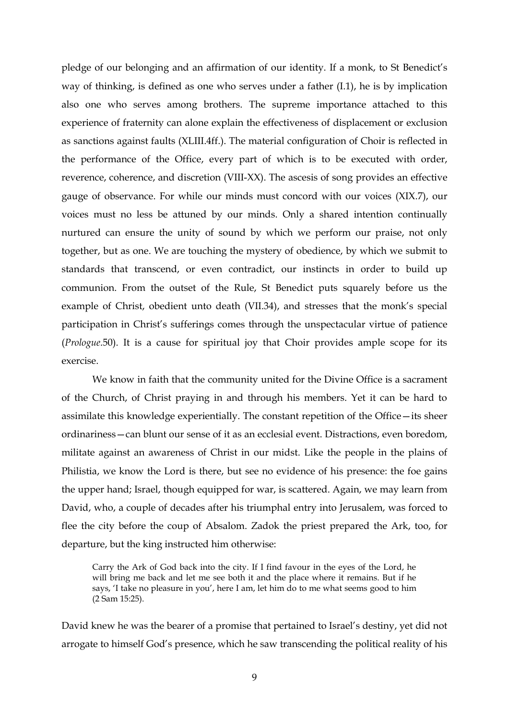pledge of our belonging and an affirmation of our identity. If a monk, to St Benedict's way of thinking, is defined as one who serves under a father (I.1), he is by implication also one who serves among brothers. The supreme importance attached to this experience of fraternity can alone explain the effectiveness of displacement or exclusion as sanctions against faults (XLIII.4ff.). The material configuration of Choir is reflected in the performance of the Office, every part of which is to be executed with order, reverence, coherence, and discretion (VIII-XX). The ascesis of song provides an effective gauge of observance. For while our minds must concord with our voices (XIX.7), our voices must no less be attuned by our minds. Only a shared intention continually nurtured can ensure the unity of sound by which we perform our praise, not only together, but as one. We are touching the mystery of obedience, by which we submit to standards that transcend, or even contradict, our instincts in order to build up communion. From the outset of the Rule, St Benedict puts squarely before us the example of Christ, obedient unto death (VII.34), and stresses that the monk's special participation in Christ's sufferings comes through the unspectacular virtue of patience (*Prologue*.50). It is a cause for spiritual joy that Choir provides ample scope for its exercise.

We know in faith that the community united for the Divine Office is a sacrament of the Church, of Christ praying in and through his members. Yet it can be hard to assimilate this knowledge experientially. The constant repetition of the Office—its sheer ordinariness—can blunt our sense of it as an ecclesial event. Distractions, even boredom, militate against an awareness of Christ in our midst. Like the people in the plains of Philistia, we know the Lord is there, but see no evidence of his presence: the foe gains the upper hand; Israel, though equipped for war, is scattered. Again, we may learn from David, who, a couple of decades after his triumphal entry into Jerusalem, was forced to flee the city before the coup of Absalom. Zadok the priest prepared the Ark, too, for departure, but the king instructed him otherwise:

Carry the Ark of God back into the city. If I find favour in the eyes of the Lord, he will bring me back and let me see both it and the place where it remains. But if he says, 'I take no pleasure in you', here I am, let him do to me what seems good to him (2 Sam 15:25).

David knew he was the bearer of a promise that pertained to Israel's destiny, yet did not arrogate to himself God's presence, which he saw transcending the political reality of his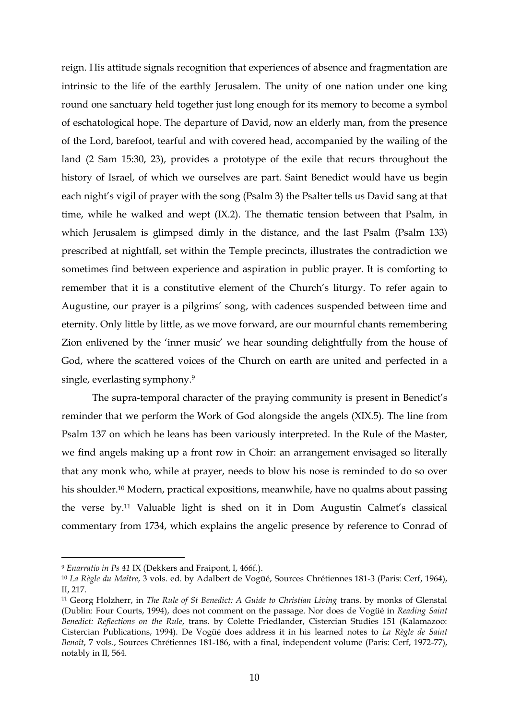reign. His attitude signals recognition that experiences of absence and fragmentation are intrinsic to the life of the earthly Jerusalem. The unity of one nation under one king round one sanctuary held together just long enough for its memory to become a symbol of eschatological hope. The departure of David, now an elderly man, from the presence of the Lord, barefoot, tearful and with covered head, accompanied by the wailing of the land (2 Sam 15:30, 23), provides a prototype of the exile that recurs throughout the history of Israel, of which we ourselves are part. Saint Benedict would have us begin each night's vigil of prayer with the song (Psalm 3) the Psalter tells us David sang at that time, while he walked and wept (IX.2). The thematic tension between that Psalm, in which Jerusalem is glimpsed dimly in the distance, and the last Psalm (Psalm 133) prescribed at nightfall, set within the Temple precincts, illustrates the contradiction we sometimes find between experience and aspiration in public prayer. It is comforting to remember that it is a constitutive element of the Church's liturgy. To refer again to Augustine, our prayer is a pilgrims' song, with cadences suspended between time and eternity. Only little by little, as we move forward, are our mournful chants remembering Zion enlivened by the 'inner music' we hear sounding delightfully from the house of God, where the scattered voices of the Church on earth are united and perfected in a single, everlasting symphony. 9

The supra-temporal character of the praying community is present in Benedict's reminder that we perform the Work of God alongside the angels (XIX.5). The line from Psalm 137 on which he leans has been variously interpreted. In the Rule of the Master, we find angels making up a front row in Choir: an arrangement envisaged so literally that any monk who, while at prayer, needs to blow his nose is reminded to do so over his shoulder.<sup>10</sup> Modern, practical expositions, meanwhile, have no qualms about passing the verse by. <sup>11</sup> Valuable light is shed on it in Dom Augustin Calmet's classical commentary from 1734, which explains the angelic presence by reference to Conrad of

<sup>9</sup> *Enarratio in Ps 41* IX (Dekkers and Fraipont, I, 466f.).

<sup>10</sup> *La Règle du Maître*, 3 vols. ed. by Adalbert de Vogüé, Sources Chrétiennes 181-3 (Paris: Cerf, 1964), II, 217.

<sup>11</sup> Georg Holzherr, in *The Rule of St Benedict: A Guide to Christian Living* trans. by monks of Glenstal (Dublin: Four Courts, 1994), does not comment on the passage. Nor does de Vogüé in *Reading Saint Benedict: Reflections on the Rule*, trans. by Colette Friedlander, Cistercian Studies 151 (Kalamazoo: Cistercian Publications, 1994). De Vogüé does address it in his learned notes to *La Règle de Saint Benoît*, 7 vols., Sources Chrétiennes 181-186, with a final, independent volume (Paris: Cerf, 1972-77), notably in II, 564.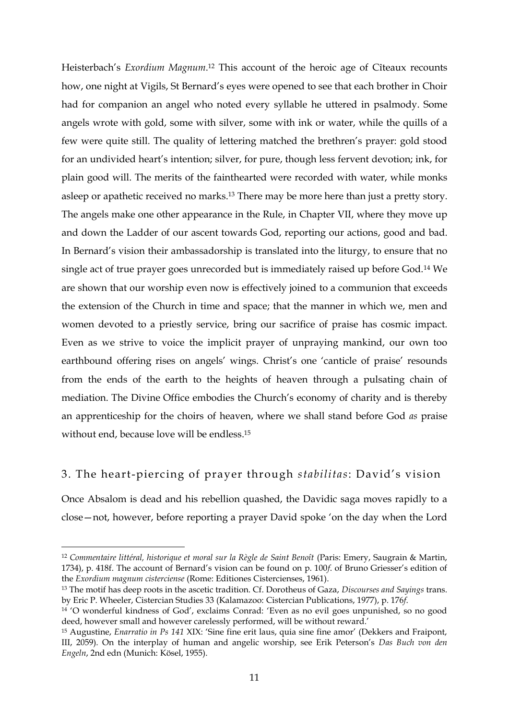Heisterbach's *Exordium Magnum*. <sup>12</sup> This account of the heroic age of Cîteaux recounts how, one night at Vigils, St Bernard's eyes were opened to see that each brother in Choir had for companion an angel who noted every syllable he uttered in psalmody. Some angels wrote with gold, some with silver, some with ink or water, while the quills of a few were quite still. The quality of lettering matched the brethren's prayer: gold stood for an undivided heart's intention; silver, for pure, though less fervent devotion; ink, for plain good will. The merits of the fainthearted were recorded with water, while monks asleep or apathetic received no marks.<sup>13</sup> There may be more here than just a pretty story. The angels make one other appearance in the Rule, in Chapter VII, where they move up and down the Ladder of our ascent towards God, reporting our actions, good and bad. In Bernard's vision their ambassadorship is translated into the liturgy, to ensure that no single act of true prayer goes unrecorded but is immediately raised up before God.<sup>14</sup> We are shown that our worship even now is effectively joined to a communion that exceeds the extension of the Church in time and space; that the manner in which we, men and women devoted to a priestly service, bring our sacrifice of praise has cosmic impact. Even as we strive to voice the implicit prayer of unpraying mankind, our own too earthbound offering rises on angels' wings. Christ's one 'canticle of praise' resounds from the ends of the earth to the heights of heaven through a pulsating chain of mediation. The Divine Office embodies the Church's economy of charity and is thereby an apprenticeship for the choirs of heaven, where we shall stand before God *as* praise without end, because love will be endless. 15

# 3. The heart-piercing of prayer through *stabilitas*: David's vision

Once Absalom is dead and his rebellion quashed, the Davidic saga moves rapidly to a close—not, however, before reporting a prayer David spoke 'on the day when the Lord

<sup>12</sup> *Commentaire littéral, historique et moral sur la Règle de Saint Benoît* (Paris: Emery, Saugrain & Martin, 1734), p. 418f. The account of Bernard's vision can be found on p. 100*f*. of Bruno Griesser's edition of the *Exordium magnum cisterciense* (Rome: Editiones Cistercienses, 1961).

<sup>13</sup> The motif has deep roots in the ascetic tradition. Cf. Dorotheus of Gaza, *Discourses and Sayings* trans. by Eric P. Wheeler, Cistercian Studies 33 (Kalamazoo: Cistercian Publications, 1977), p. 176*f*.

<sup>14</sup> 'O wonderful kindness of God', exclaims Conrad: 'Even as no evil goes unpunished, so no good deed, however small and however carelessly performed, will be without reward.'

<sup>15</sup> Augustine, *Enarratio in Ps 141* XIX: 'Sine fine erit laus, quia sine fine amor' (Dekkers and Fraipont, III, 2059). On the interplay of human and angelic worship, see Erik Peterson's *Das Buch von den Engeln*, 2nd edn (Munich: Kösel, 1955).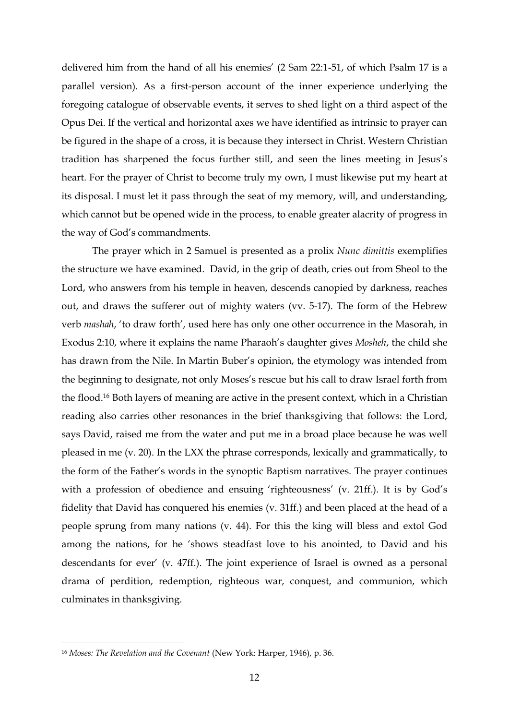delivered him from the hand of all his enemies' (2 Sam 22:1-51, of which Psalm 17 is a parallel version). As a first-person account of the inner experience underlying the foregoing catalogue of observable events, it serves to shed light on a third aspect of the Opus Dei. If the vertical and horizontal axes we have identified as intrinsic to prayer can be figured in the shape of a cross, it is because they intersect in Christ. Western Christian tradition has sharpened the focus further still, and seen the lines meeting in Jesus's heart. For the prayer of Christ to become truly my own, I must likewise put my heart at its disposal. I must let it pass through the seat of my memory, will, and understanding, which cannot but be opened wide in the process, to enable greater alacrity of progress in the way of God's commandments.

The prayer which in 2 Samuel is presented as a prolix *Nunc dimittis* exemplifies the structure we have examined. David, in the grip of death, cries out from Sheol to the Lord, who answers from his temple in heaven, descends canopied by darkness, reaches out, and draws the sufferer out of mighty waters (vv. 5-17). The form of the Hebrew verb *mashah*, 'to draw forth', used here has only one other occurrence in the Masorah, in Exodus 2:10, where it explains the name Pharaoh's daughter gives *Mosheh*, the child she has drawn from the Nile. In Martin Buber's opinion, the etymology was intended from the beginning to designate, not only Moses's rescue but his call to draw Israel forth from the flood. <sup>16</sup> Both layers of meaning are active in the present context, which in a Christian reading also carries other resonances in the brief thanksgiving that follows: the Lord, says David, raised me from the water and put me in a broad place because he was well pleased in me (v. 20). In the LXX the phrase corresponds, lexically and grammatically, to the form of the Father's words in the synoptic Baptism narratives. The prayer continues with a profession of obedience and ensuing 'righteousness' (v. 21ff.). It is by God's fidelity that David has conquered his enemies (v. 31ff.) and been placed at the head of a people sprung from many nations (v. 44). For this the king will bless and extol God among the nations, for he 'shows steadfast love to his anointed, to David and his descendants for ever' (v. 47ff.). The joint experience of Israel is owned as a personal drama of perdition, redemption, righteous war, conquest, and communion, which culminates in thanksgiving.

<sup>16</sup> *Moses: The Revelation and the Covenant* (New York: Harper, 1946), p. 36.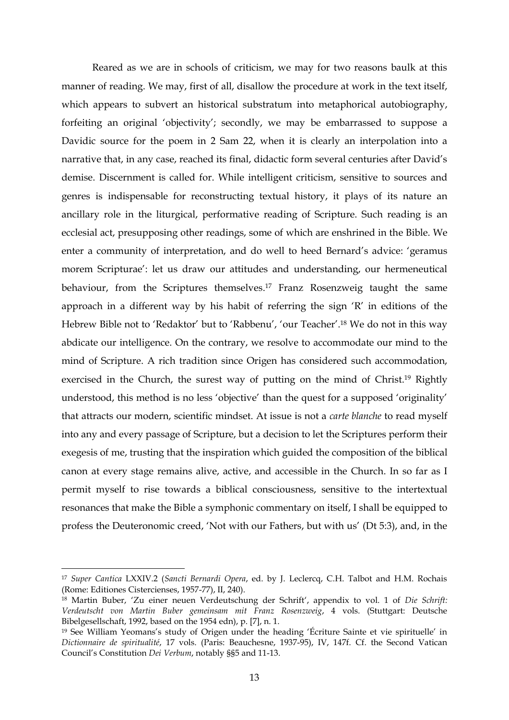Reared as we are in schools of criticism, we may for two reasons baulk at this manner of reading. We may, first of all, disallow the procedure at work in the text itself, which appears to subvert an historical substratum into metaphorical autobiography, forfeiting an original 'objectivity'; secondly, we may be embarrassed to suppose a Davidic source for the poem in 2 Sam 22, when it is clearly an interpolation into a narrative that, in any case, reached its final, didactic form several centuries after David's demise. Discernment is called for. While intelligent criticism, sensitive to sources and genres is indispensable for reconstructing textual history, it plays of its nature an ancillary role in the liturgical, performative reading of Scripture. Such reading is an ecclesial act, presupposing other readings, some of which are enshrined in the Bible. We enter a community of interpretation, and do well to heed Bernard's advice: 'geramus morem Scripturae': let us draw our attitudes and understanding, our hermeneutical behaviour, from the Scriptures themselves. <sup>17</sup> Franz Rosenzweig taught the same approach in a different way by his habit of referring the sign 'R' in editions of the Hebrew Bible not to 'Redaktor' but to 'Rabbenu', 'our Teacher'.<sup>18</sup> We do not in this way abdicate our intelligence. On the contrary, we resolve to accommodate our mind to the mind of Scripture. A rich tradition since Origen has considered such accommodation, exercised in the Church, the surest way of putting on the mind of Christ.<sup>19</sup> Rightly understood, this method is no less 'objective' than the quest for a supposed 'originality' that attracts our modern, scientific mindset. At issue is not a *carte blanche* to read myself into any and every passage of Scripture, but a decision to let the Scriptures perform their exegesis of me, trusting that the inspiration which guided the composition of the biblical canon at every stage remains alive, active, and accessible in the Church. In so far as I permit myself to rise towards a biblical consciousness, sensitive to the intertextual resonances that make the Bible a symphonic commentary on itself, I shall be equipped to profess the Deuteronomic creed, 'Not with our Fathers, but with us' (Dt 5:3), and, in the

<sup>17</sup> *Super Cantica* LXXIV.2 (*Sancti Bernardi Opera*, ed. by J. Leclercq, C.H. Talbot and H.M. Rochais (Rome: Editiones Cistercienses, 1957-77), II, 240).

<sup>18</sup> Martin Buber, 'Zu einer neuen Verdeutschung der Schrift', appendix to vol. 1 of *Die Schrift: Verdeutscht von Martin Buber gemeinsam mit Franz Rosenzweig*, 4 vols. (Stuttgart: Deutsche Bibelgesellschaft, 1992, based on the 1954 edn), p. [7], n. 1.

<sup>19</sup> See William Yeomans's study of Origen under the heading 'Écriture Sainte et vie spirituelle' in *Dictionnaire de spiritualité*, 17 vols. (Paris: Beauchesne, 1937-95), IV, 147f. Cf. the Second Vatican Council's Constitution *Dei Verbum*, notably §§5 and 11-13.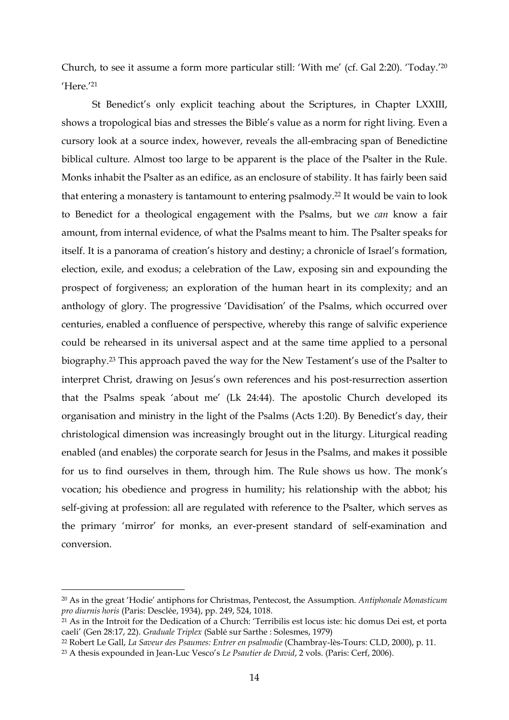Church, to see it assume a form more particular still: 'With me' (cf. Gal 2:20). 'Today.' 20 'Here.'<sup>21</sup>

St Benedict's only explicit teaching about the Scriptures, in Chapter LXXIII, shows a tropological bias and stresses the Bible's value as a norm for right living. Even a cursory look at a source index, however, reveals the all-embracing span of Benedictine biblical culture. Almost too large to be apparent is the place of the Psalter in the Rule. Monks inhabit the Psalter as an edifice, as an enclosure of stability. It has fairly been said that entering a monastery is tantamount to entering psalmody.<sup>22</sup> It would be vain to look to Benedict for a theological engagement with the Psalms, but we *can* know a fair amount, from internal evidence, of what the Psalms meant to him. The Psalter speaks for itself. It is a panorama of creation's history and destiny; a chronicle of Israel's formation, election, exile, and exodus; a celebration of the Law, exposing sin and expounding the prospect of forgiveness; an exploration of the human heart in its complexity; and an anthology of glory. The progressive 'Davidisation' of the Psalms, which occurred over centuries, enabled a confluence of perspective, whereby this range of salvific experience could be rehearsed in its universal aspect and at the same time applied to a personal biography. <sup>23</sup> This approach paved the way for the New Testament's use of the Psalter to interpret Christ, drawing on Jesus's own references and his post-resurrection assertion that the Psalms speak 'about me' (Lk 24:44). The apostolic Church developed its organisation and ministry in the light of the Psalms (Acts 1:20). By Benedict's day, their christological dimension was increasingly brought out in the liturgy. Liturgical reading enabled (and enables) the corporate search for Jesus in the Psalms, and makes it possible for us to find ourselves in them, through him. The Rule shows us how. The monk's vocation; his obedience and progress in humility; his relationship with the abbot; his self-giving at profession: all are regulated with reference to the Psalter, which serves as the primary 'mirror' for monks, an ever-present standard of self-examination and conversion.

<sup>20</sup> As in the great 'Hodie' antiphons for Christmas, Pentecost, the Assumption. *Antiphonale Monasticum pro diurnis horis* (Paris: Desclée, 1934), pp. 249, 524, 1018.

<sup>21</sup> As in the Introit for the Dedication of a Church: 'Terribilis est locus iste: hic domus Dei est, et porta caeli' (Gen 28:17, 22). *Graduale Triplex* (Sablé sur Sarthe : Solesmes, 1979)

<sup>22</sup> Robert Le Gall, *La Saveur des Psaumes: Entrer en psalmodie* (Chambray-lès-Tours: CLD, 2000), p. 11.

<sup>23</sup> A thesis expounded in Jean-Luc Vesco's *Le Psautier de David*, 2 vols. (Paris: Cerf, 2006).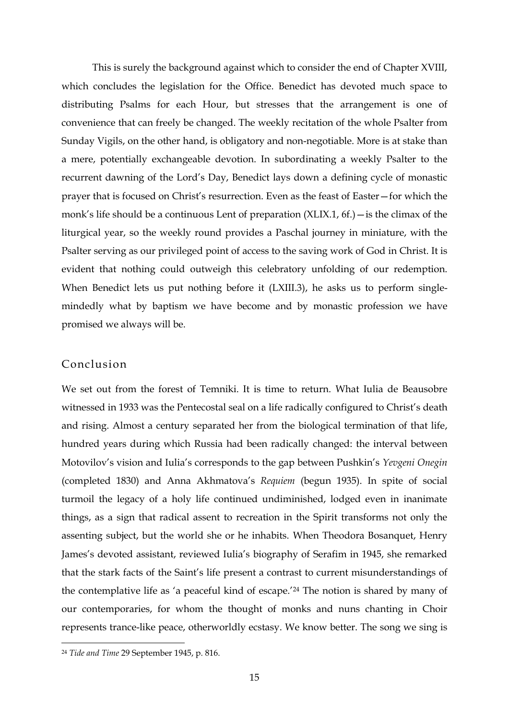This is surely the background against which to consider the end of Chapter XVIII, which concludes the legislation for the Office. Benedict has devoted much space to distributing Psalms for each Hour, but stresses that the arrangement is one of convenience that can freely be changed. The weekly recitation of the whole Psalter from Sunday Vigils, on the other hand, is obligatory and non-negotiable. More is at stake than a mere, potentially exchangeable devotion. In subordinating a weekly Psalter to the recurrent dawning of the Lord's Day, Benedict lays down a defining cycle of monastic prayer that is focused on Christ's resurrection. Even as the feast of Easter—for which the monk's life should be a continuous Lent of preparation (XLIX.1, 6f.)—is the climax of the liturgical year, so the weekly round provides a Paschal journey in miniature, with the Psalter serving as our privileged point of access to the saving work of God in Christ. It is evident that nothing could outweigh this celebratory unfolding of our redemption. When Benedict lets us put nothing before it (LXIII.3), he asks us to perform singlemindedly what by baptism we have become and by monastic profession we have promised we always will be.

## Conclusion

We set out from the forest of Temniki. It is time to return. What Iulia de Beausobre witnessed in 1933 was the Pentecostal seal on a life radically configured to Christ's death and rising. Almost a century separated her from the biological termination of that life, hundred years during which Russia had been radically changed: the interval between Motovilov's vision and Iulia's corresponds to the gap between Pushkin's *Yevgeni Onegin* (completed 1830) and Anna Akhmatova's *Requiem* (begun 1935). In spite of social turmoil the legacy of a holy life continued undiminished, lodged even in inanimate things, as a sign that radical assent to recreation in the Spirit transforms not only the assenting subject, but the world she or he inhabits. When Theodora Bosanquet, Henry James's devoted assistant, reviewed Iulia's biography of Serafim in 1945, she remarked that the stark facts of the Saint's life present a contrast to current misunderstandings of the contemplative life as 'a peaceful kind of escape.'<sup>24</sup> The notion is shared by many of our contemporaries, for whom the thought of monks and nuns chanting in Choir represents trance-like peace, otherworldly ecstasy. We know better. The song we sing is

<sup>24</sup> *Tide and Time* 29 September 1945, p. 816.